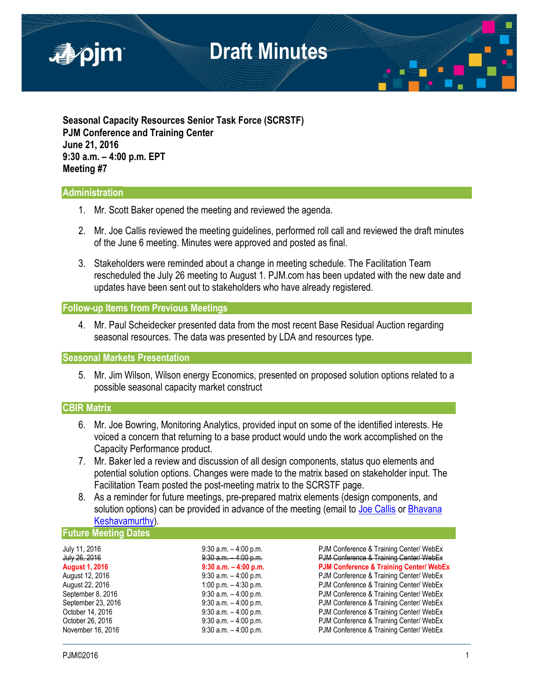

**Seasonal Capacity Resources Senior Task Force (SCRSTF) PJM Conference and Training Center June 21, 2016 9:30 a.m. – 4:00 p.m. EPT Meeting #7**

### **Administration**

- 1. Mr. Scott Baker opened the meeting and reviewed the agenda.
- 2. Mr. Joe Callis reviewed the meeting guidelines, performed roll call and reviewed the draft minutes of the June 6 meeting. Minutes were approved and posted as final.
- 3. Stakeholders were reminded about a change in meeting schedule. The Facilitation Team rescheduled the July 26 meeting to August 1. PJM.com has been updated with the new date and updates have been sent out to stakeholders who have already registered.

### **Follow-up Items from Previous Meetings**

4. Mr. Paul Scheidecker presented data from the most recent Base Residual Auction regarding seasonal resources. The data was presented by LDA and resources type.

### **Seasonal Markets Presentation**

5. Mr. Jim Wilson, Wilson energy Economics, presented on proposed solution options related to a possible seasonal capacity market construct

## **CBIR Matrix**

- 6. Mr. Joe Bowring, Monitoring Analytics, provided input on some of the identified interests. He voiced a concern that returning to a base product would undo the work accomplished on the Capacity Performance product.
- 7. Mr. Baker led a review and discussion of all design components, status quo elements and potential solution options. Changes were made to the matrix based on stakeholder input. The Facilitation Team posted the post-meeting matrix to the SCRSTF page.
- 8. As a reminder for future meetings, pre-prepared matrix elements (design components, and solution options) can be provided in advance of the meeting (email to [Joe Callis](mailto:Joseph.Callis@pjm.com?subject=SCRSTF%20Design%20Components) or Bhavana [Keshavamurthy\)](mailto:Bhavana.Murthy@pjm.com?subject=SCRSTF%20Design%20Components).

#### **Future Meeting Dates**

| July 11, 2016         | $9:30$ a.m. $-4:00$ p.m. | PJM Conference & Training Center/ WebEx            |
|-----------------------|--------------------------|----------------------------------------------------|
| July 26, 2016         | 9:30 a.m. 4:00 p.m.      | PJM Conference & Training Center/ WebEx            |
| <b>August 1, 2016</b> | $9:30$ a.m. $-4:00$ p.m. | <b>PJM Conference &amp; Training Center/ WebEx</b> |
| August 12, 2016       | $9:30$ a.m. $-4:00$ p.m. | PJM Conference & Training Center/ WebEx            |
| August 22, 2016       | 1:00 p.m. $-$ 4:30 p.m.  | PJM Conference & Training Center/ WebEx            |
| September 8, 2016     | $9:30$ a.m. $-4:00$ p.m. | PJM Conference & Training Center/ WebEx            |
| September 23, 2016    | $9:30$ a.m. $-4:00$ p.m. | PJM Conference & Training Center/ WebEx            |
| October 14, 2016      | $9:30$ a.m. $-4:00$ p.m. | PJM Conference & Training Center/ WebEx            |
| October 26, 2016      | $9:30$ a.m. $-4:00$ p.m. | PJM Conference & Training Center/ WebEx            |
| November 16, 2016     | $9:30$ a.m. $-4:00$ p.m. | PJM Conference & Training Center/ WebEx            |
|                       |                          |                                                    |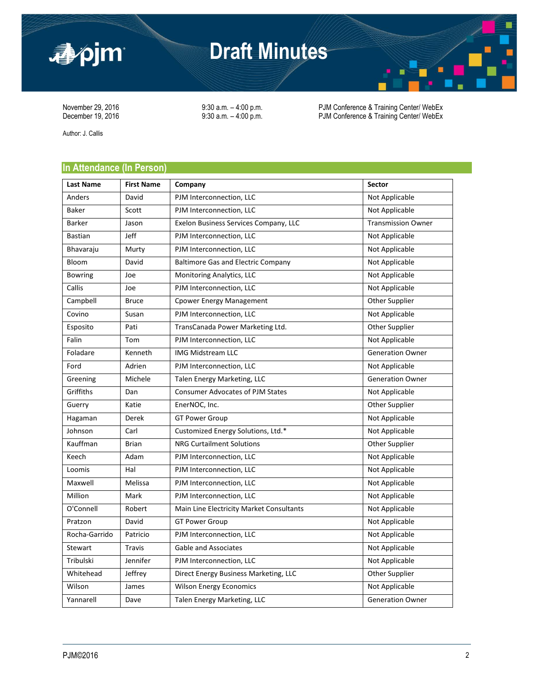

# **Draft Minutes**

November 29, 2016 <br>
9:30 a.m. – 4:00 p.m. PJM Conference & Training Center/ WebEx<br>
9:30 a.m. – 4:00 p.m. PJM Conference & Training Center/ WebEx PJM Conference & Training Center/ WebEx

Author: J. Callis

# **In Attendance (In Person)**

| <b>Last Name</b> | <b>First Name</b> | Company                                   | Sector                    |
|------------------|-------------------|-------------------------------------------|---------------------------|
| Anders           | David             | PJM Interconnection, LLC                  | Not Applicable            |
| <b>Baker</b>     | Scott             | PJM Interconnection, LLC                  | Not Applicable            |
| <b>Barker</b>    | Jason             | Exelon Business Services Company, LLC     | <b>Transmission Owner</b> |
| <b>Bastian</b>   | Jeff              | PJM Interconnection, LLC                  | Not Applicable            |
| Bhavaraju        | Murty             | PJM Interconnection, LLC                  | Not Applicable            |
| Bloom            | David             | <b>Baltimore Gas and Electric Company</b> | Not Applicable            |
| <b>Bowring</b>   | Joe               | Monitoring Analytics, LLC                 | Not Applicable            |
| Callis           | Joe               | PJM Interconnection, LLC                  | Not Applicable            |
| Campbell         | <b>Bruce</b>      | <b>Cpower Energy Management</b>           | Other Supplier            |
| Covino           | Susan             | PJM Interconnection, LLC                  | Not Applicable            |
| Esposito         | Pati              | TransCanada Power Marketing Ltd.          | Other Supplier            |
| Falin            | Tom               | PJM Interconnection, LLC                  | Not Applicable            |
| Foladare         | Kenneth           | <b>IMG Midstream LLC</b>                  | <b>Generation Owner</b>   |
| Ford             | Adrien            | PJM Interconnection, LLC                  | Not Applicable            |
| Greening         | Michele           | Talen Energy Marketing, LLC               | <b>Generation Owner</b>   |
| Griffiths        | Dan               | <b>Consumer Advocates of PJM States</b>   | Not Applicable            |
| Guerry           | Katie             | EnerNOC, Inc.                             | Other Supplier            |
| Hagaman          | Derek             | <b>GT Power Group</b>                     | Not Applicable            |
| Johnson          | Carl              | Customized Energy Solutions, Ltd.*        | Not Applicable            |
| Kauffman         | <b>Brian</b>      | <b>NRG Curtailment Solutions</b>          | Other Supplier            |
| Keech            | Adam              | PJM Interconnection, LLC                  | Not Applicable            |
| Loomis           | Hal               | PJM Interconnection, LLC                  | Not Applicable            |
| Maxwell          | Melissa           | PJM Interconnection, LLC                  | Not Applicable            |
| Million          | Mark              | PJM Interconnection, LLC                  | Not Applicable            |
| O'Connell        | Robert            | Main Line Electricity Market Consultants  | Not Applicable            |
| Pratzon          | David             | <b>GT Power Group</b>                     | Not Applicable            |
| Rocha-Garrido    | Patricio          | PJM Interconnection, LLC                  | Not Applicable            |
| Stewart          | <b>Travis</b>     | <b>Gable and Associates</b>               | Not Applicable            |
| Tribulski        | Jennifer          | PJM Interconnection, LLC                  | Not Applicable            |
| Whitehead        | Jeffrey           | Direct Energy Business Marketing, LLC     | Other Supplier            |
| Wilson           | James             | <b>Wilson Energy Economics</b>            | Not Applicable            |
| Yannarell        | Dave              | Talen Energy Marketing, LLC               | <b>Generation Owner</b>   |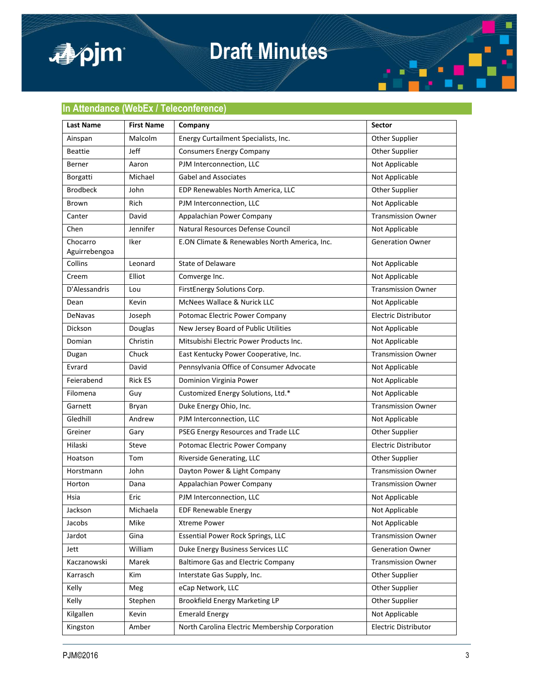

# **Draft Minutes**



| <b>Last Name</b>          | <b>First Name</b> | Company                                        | Sector                      |
|---------------------------|-------------------|------------------------------------------------|-----------------------------|
| Ainspan                   | Malcolm           | Energy Curtailment Specialists, Inc.           | Other Supplier              |
| <b>Beattie</b>            | Jeff              | <b>Consumers Energy Company</b>                | Other Supplier              |
| Berner                    | Aaron             | PJM Interconnection, LLC                       | Not Applicable              |
| Borgatti                  | Michael           | <b>Gabel and Associates</b>                    | Not Applicable              |
| <b>Brodbeck</b>           | John              | EDP Renewables North America, LLC              | Other Supplier              |
| Brown                     | Rich              | PJM Interconnection, LLC                       | Not Applicable              |
| Canter                    | David             | Appalachian Power Company                      | <b>Transmission Owner</b>   |
| Chen                      | Jennifer          | Natural Resources Defense Council              | Not Applicable              |
| Chocarro<br>Aguirrebengoa | Iker              | E.ON Climate & Renewables North America, Inc.  | <b>Generation Owner</b>     |
| Collins                   | Leonard           | State of Delaware                              | Not Applicable              |
| Creem                     | Elliot            | Comverge Inc.                                  | Not Applicable              |
| D'Alessandris             | Lou               | FirstEnergy Solutions Corp.                    | <b>Transmission Owner</b>   |
| Dean                      | Kevin             | McNees Wallace & Nurick LLC                    | Not Applicable              |
| <b>DeNavas</b>            | Joseph            | Potomac Electric Power Company                 | <b>Electric Distributor</b> |
| Dickson                   | Douglas           | New Jersey Board of Public Utilities           | Not Applicable              |
| Domian                    | Christin          | Mitsubishi Electric Power Products Inc.        | Not Applicable              |
| Dugan                     | Chuck             | East Kentucky Power Cooperative, Inc.          | <b>Transmission Owner</b>   |
| Evrard                    | David             | Pennsylvania Office of Consumer Advocate       | Not Applicable              |
| Feierabend                | <b>Rick ES</b>    | Dominion Virginia Power                        | Not Applicable              |
| Filomena                  | Guy               | Customized Energy Solutions, Ltd.*             | Not Applicable              |
| Garnett                   | Bryan             | Duke Energy Ohio, Inc.                         | <b>Transmission Owner</b>   |
| Gledhill                  | Andrew            | PJM Interconnection, LLC                       | Not Applicable              |
| Greiner                   | Gary              | PSEG Energy Resources and Trade LLC            | Other Supplier              |
| Hilaski                   | Steve             | Potomac Electric Power Company                 | Electric Distributor        |
| Hoatson                   | Tom               | Riverside Generating, LLC                      | Other Supplier              |
| Horstmann                 | John              | Dayton Power & Light Company                   | <b>Transmission Owner</b>   |
| Horton                    | Dana              | Appalachian Power Company                      | <b>Transmission Owner</b>   |
| Hsia                      | Eric              | PJM Interconnection, LLC                       | Not Applicable              |
| Jackson                   | Michaela          | <b>EDF Renewable Energy</b>                    | Not Applicable              |
| Jacobs                    | Mike              | <b>Xtreme Power</b>                            | Not Applicable              |
| Jardot                    | Gina              | Essential Power Rock Springs, LLC              | <b>Transmission Owner</b>   |
| Jett                      | William           | Duke Energy Business Services LLC              | <b>Generation Owner</b>     |
| Kaczanowski               | Marek             | <b>Baltimore Gas and Electric Company</b>      | <b>Transmission Owner</b>   |
| Karrasch                  | Kim               | Interstate Gas Supply, Inc.                    | Other Supplier              |
| Kelly                     | Meg               | eCap Network, LLC                              | Other Supplier              |
| Kelly                     | Stephen           | <b>Brookfield Energy Marketing LP</b>          | Other Supplier              |
| Kilgallen                 | Kevin             | <b>Emerald Energy</b>                          | Not Applicable              |
| Kingston                  | Amber             | North Carolina Electric Membership Corporation | Electric Distributor        |

 $\blacksquare$